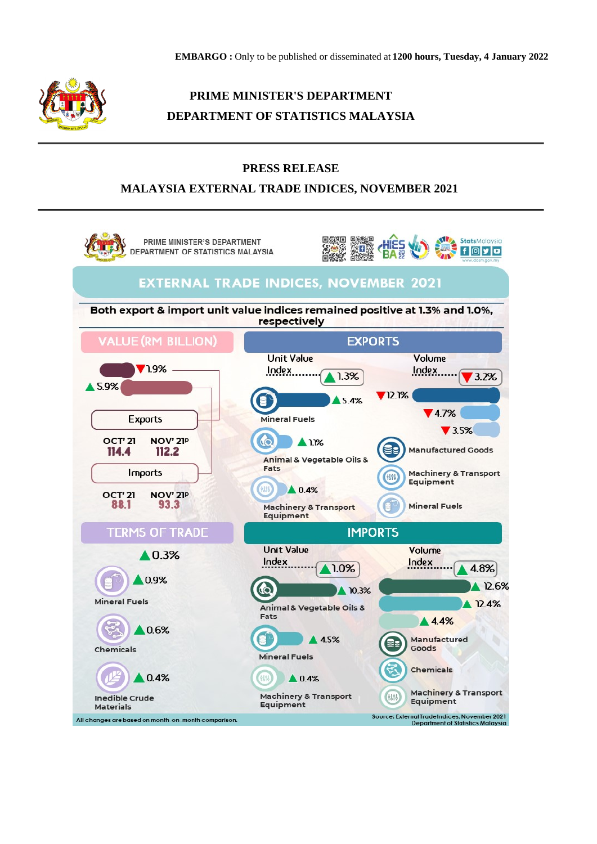

# **PRIME MINISTER'S DEPARTMENT DEPARTMENT OF STATISTICS MALAYSIA**

## **PRESS RELEASE**

# **MALAYSIA EXTERNAL TRADE INDICES, NOVEMBER 2021**